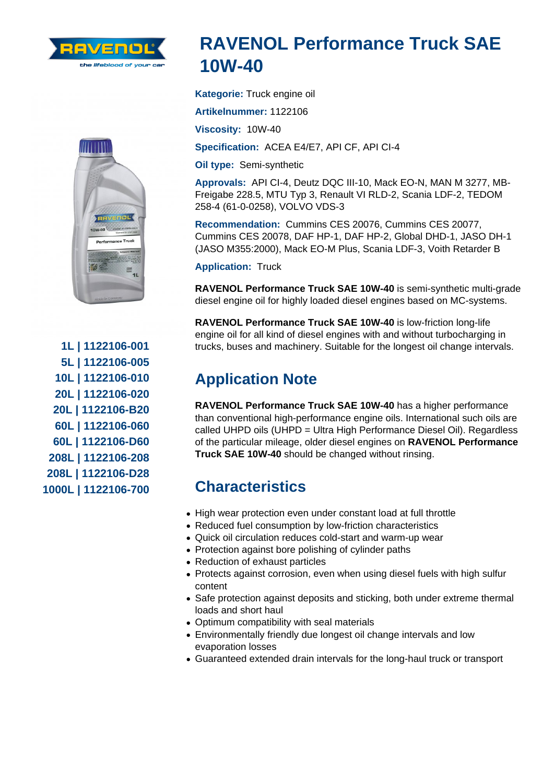## RAVENOL Performance Truck SAE 10W-40

Kategorie: Truck engine oil

Artikelnummer: 1122106

Viscosity: 10W-40

Specification: ACEA E4/E7, API CF, API CI-4

Oil type: Semi-synthetic

Approvals: API CI-4, Deutz DQC III-10, Mack EO-N, MAN M 3277, MB-Freigabe 228.5, MTU Typ 3, Renault VI RLD-2, Scania LDF-2, TEDOM 258-4 (61-0-0258), VOLVO VDS-3

Recommendation: Cummins CES 20076, Cummins CES 20077, Cummins CES 20078, DAF HP-1, DAF HP-2, Global DHD-1, JASO DH-1 (JASO M355:2000), Mack EO-M Plus, Scania LDF-3, Voith Retarder B

Application: Truck

RAVENOL Performance Truck SAE 10W-40 is semi-synthetic multi-grade diesel engine oil for highly loaded diesel engines based on MC-systems.

RAVENOL Performance Truck SAE 10W-40 is low-friction long-life engine oil for all kind of diesel engines with and without turbocharging in trucks, buses and machinery. Suitable for the longest oil change intervals.

## Application Note

RAVENOL Performance Truck SAE 10W-40 has a higher performance than conventional high-performance engine oils. International such oils are called UHPD oils (UHPD = Ultra High Performance Diesel Oil). Regardless of the particular mileage, older diesel engines on RAVENOL Performance Truck SAE 10W-40 should be changed without rinsing.

## **Characteristics**

- High wear protection even under constant load at full throttle
- Reduced fuel consumption by low-friction characteristics
- Quick oil circulation reduces cold-start and warm-up wear
- Protection against bore polishing of cylinder paths
- Reduction of exhaust particles
- Protects against corrosion, even when using diesel fuels with high sulfur content
- Safe protection against deposits and sticking, both under extreme thermal loads and short haul
- Optimum compatibility with seal materials
- Environmentally friendly due longest oil change intervals and low evaporation losses
- Guaranteed extended drain intervals for the long-haul truck or transport

1L | 1122106-001 5L | 1122106-005 10L | 1122106-010 20L | 1122106-020 20L | 1122106-B20 60L | 1122106-060 60L | 1122106-D60 208L | 1122106-208 208L | 1122106-D28 1000L | 1122106-700